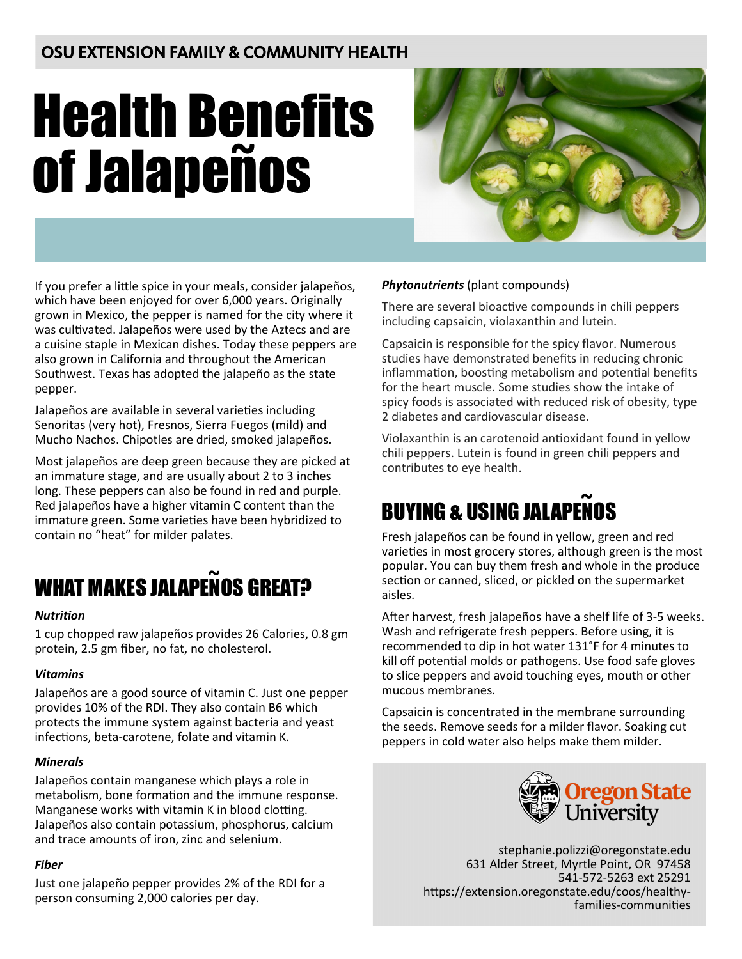## OSU EXTENSION FAMILY & COMMUNITY HEALTH

# Health Benefits **of Jalapeños**



If you prefer a little spice in your meals, consider jalapeños, which have been enjoyed for over 6,000 years. Originally grown in Mexico, the pepper is named for the city where it was cultivated. Jalapeños were used by the Aztecs and are a cuisine staple in Mexican dishes. Today these peppers are also grown in California and throughout the American Southwest. Texas has adopted the jalapeño as the state pepper.

Jalapeños are available in several varieties including Senoritas (very hot), Fresnos, Sierra Fuegos (mild) and Mucho Nachos. Chipotles are dried, smoked jalapeños.

Most jalapeños are deep green because they are picked at an immature stage, and are usually about 2 to 3 inches long. These peppers can also be found in red and purple. Red jalapeños have a higher vitamin C content than the immature green. Some varieties have been hybridized to contain no "heat" for milder palates.

## WHAT MAKES JALAPENOS GREAT? **~**

## *Nutrition*

1 cup chopped raw jalapeños provides 26 Calories, 0.8 gm protein, 2.5 gm fiber, no fat, no cholesterol.

## *Vitamins*

Jalapeños are a good source of vitamin C. Just one pepper provides 10% of the RDI. They also contain B6 which protects the immune system against bacteria and yeast infections, beta-carotene, folate and vitamin K.

## *Minerals*

Jalapeños contain manganese which plays a role in metabolism, bone formation and the immune response. Manganese works with vitamin K in blood clotting. Jalapeños also contain potassium, phosphorus, calcium and trace amounts of iron, zinc and selenium.

## *Fiber*

Just one jalapeño pepper provides 2% of the RDI for a person consuming 2,000 calories per day.

## *Phytonutrients* (plant compounds)

There are several bioactive compounds in chili peppers including capsaicin, violaxanthin and lutein.

Capsaicin is responsible for the spicy flavor. Numerous studies have demonstrated benefits in reducing chronic inflammation, boosting metabolism and potential benefits for the heart muscle. Some studies show the intake of spicy foods is associated with reduced risk of obesity, type 2 diabetes and cardiovascular disease.

Violaxanthin is an carotenoid antioxidant found in yellow chili peppers. Lutein is found in green chili peppers and contributes to eye health.

# BUYING & USING JALAPENOS **~**

Fresh jalapeños can be found in yellow, green and red varieties in most grocery stores, although green is the most popular. You can buy them fresh and whole in the produce section or canned, sliced, or pickled on the supermarket aisles.

After harvest, fresh jalapeños have a shelf life of 3-5 weeks. Wash and refrigerate fresh peppers. Before using, it is recommended to dip in hot water 131°F for 4 minutes to kill off potential molds or pathogens. Use food safe gloves to slice peppers and avoid touching eyes, mouth or other mucous membranes.

Capsaicin is concentrated in the membrane surrounding the seeds. Remove seeds for a milder flavor. Soaking cut peppers in cold water also helps make them milder.



stephanie.polizzi@oregonstate.edu 631 Alder Street, Myrtle Point, OR 97458 541-572-5263 ext 25291 https://extension.oregonstate.edu/coos/healthyfamilies-communities